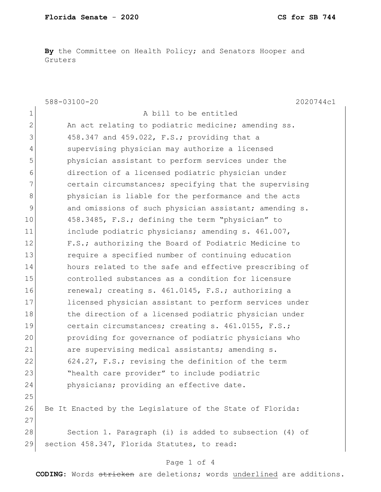**By** the Committee on Health Policy; and Senators Hooper and Gruters

|              | $588 - 03100 - 20$<br>2020744c1                           |
|--------------|-----------------------------------------------------------|
| 1            | A bill to be entitled                                     |
| $\mathbf{2}$ | An act relating to podiatric medicine; amending ss.       |
| 3            | 458.347 and 459.022, F.S.; providing that a               |
| 4            | supervising physician may authorize a licensed            |
| 5            | physician assistant to perform services under the         |
| 6            | direction of a licensed podiatric physician under         |
| 7            | certain circumstances; specifying that the supervising    |
| $\,8\,$      | physician is liable for the performance and the acts      |
| $\mathsf 9$  | and omissions of such physician assistant; amending s.    |
| 10           | 458.3485, F.S.; defining the term "physician" to          |
| 11           | include podiatric physicians; amending s. 461.007,        |
| 12           | F.S.; authorizing the Board of Podiatric Medicine to      |
| 13           | require a specified number of continuing education        |
| 14           | hours related to the safe and effective prescribing of    |
| 15           | controlled substances as a condition for licensure        |
| 16           | renewal; creating s. 461.0145, F.S.; authorizing a        |
| 17           | licensed physician assistant to perform services under    |
| 18           | the direction of a licensed podiatric physician under     |
| 19           | certain circumstances; creating s. 461.0155, F.S.;        |
| 20           | providing for governance of podiatric physicians who      |
| 21           | are supervising medical assistants; amending s.           |
| 22           | 624.27, F.S.; revising the definition of the term         |
| 23           | "health care provider" to include podiatric               |
| 24           | physicians; providing an effective date.                  |
| 25           |                                                           |
| 26           | Be It Enacted by the Legislature of the State of Florida: |
| 27           |                                                           |
| 28           | Section 1. Paragraph (i) is added to subsection (4) of    |
| 29           | section 458.347, Florida Statutes, to read:               |
|              |                                                           |

## Page 1 of 4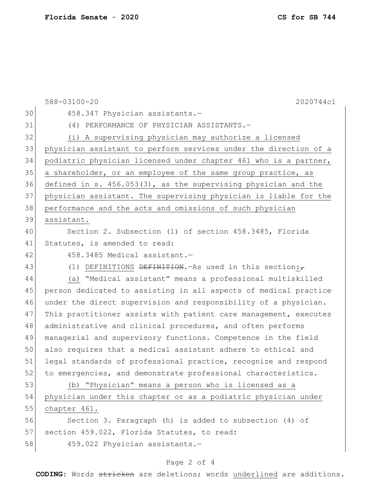588-03100-20 2020744c1 30 458.347 Physician assistants.- (4) PERFORMANCE OF PHYSICIAN ASSISTANTS.— (i) A supervising physician may authorize a licensed physician assistant to perform services under the direction of a podiatric physician licensed under chapter 461 who is a partner, 35 a shareholder, or an employee of the same group practice, as defined in s. 456.053(3), as the supervising physician and the physician assistant. The supervising physician is liable for the performance and the acts and omissions of such physician assistant. Section 2. Subsection (1) of section 458.3485, Florida 41 Statutes, is amended to read: 42 458.3485 Medical assistant. 43 (1) DEFINITIONS <del>DEFINITION</del>.—As used in this section: (a) "Medical assistant" means a professional multiskilled person dedicated to assisting in all aspects of medical practice under the direct supervision and responsibility of a physician. 47 This practitioner assists with patient care management, executes 48 administrative and clinical procedures, and often performs managerial and supervisory functions. Competence in the field also requires that a medical assistant adhere to ethical and 51 legal standards of professional practice, recognize and respond 52 to emergencies, and demonstrate professional characteristics. (b) "Physician" means a person who is licensed as a physician under this chapter or as a podiatric physician under chapter 461. Section 3. Paragraph (h) is added to subsection (4) of 57 section 459.022, Florida Statutes, to read: 459.022 Physician assistants.—

## Page 2 of 4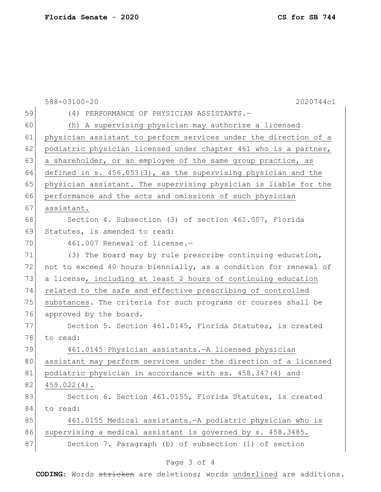|    | 588-03100-20<br>2020744c1                                         |
|----|-------------------------------------------------------------------|
| 59 | (4) PERFORMANCE OF PHYSICIAN ASSISTANTS.-                         |
| 60 | (h) A supervising physician may authorize a licensed              |
| 61 | physician assistant to perform services under the direction of a  |
| 62 | podiatric physician licensed under chapter 461 who is a partner,  |
| 63 | a shareholder, or an employee of the same group practice, as      |
| 64 | defined in s. $456.053(3)$ , as the supervising physician and the |
| 65 | physician assistant. The supervising physician is liable for the  |
| 66 | performance and the acts and omissions of such physician          |
| 67 | assistant.                                                        |
| 68 | Section 4. Subsection (3) of section 461.007, Florida             |
| 69 | Statutes, is amended to read:                                     |
| 70 | 461.007 Renewal of license.-                                      |
| 71 | (3) The board may by rule prescribe continuing education,         |
| 72 | not to exceed 40 hours biennially, as a condition for renewal of  |
| 73 | a license, including at least 2 hours of continuing education     |
| 74 | related to the safe and effective prescribing of controlled       |
| 75 | substances. The criteria for such programs or courses shall be    |
| 76 | approved by the board.                                            |
| 77 | Section 5. Section 461.0145, Florida Statutes, is created         |
| 78 | to read:                                                          |
| 79 | 461.0145 Physician assistants. - A licensed physician             |
| 80 | assistant may perform services under the direction of a licensed  |
| 81 | podiatric physician in accordance with ss. 458.347(4) and         |
| 82 | $459.022(4)$ .                                                    |
| 83 | Section 6. Section 461.0155, Florida Statutes, is created         |
| 84 | to read:                                                          |
| 85 | 461.0155 Medical assistants. - A podiatric physician who is       |
| 86 | supervising a medical assistant is governed by s. 458.3485.       |
| 87 | Section 7. Paragraph (b) of subsection (1) of section             |

## Page 3 of 4